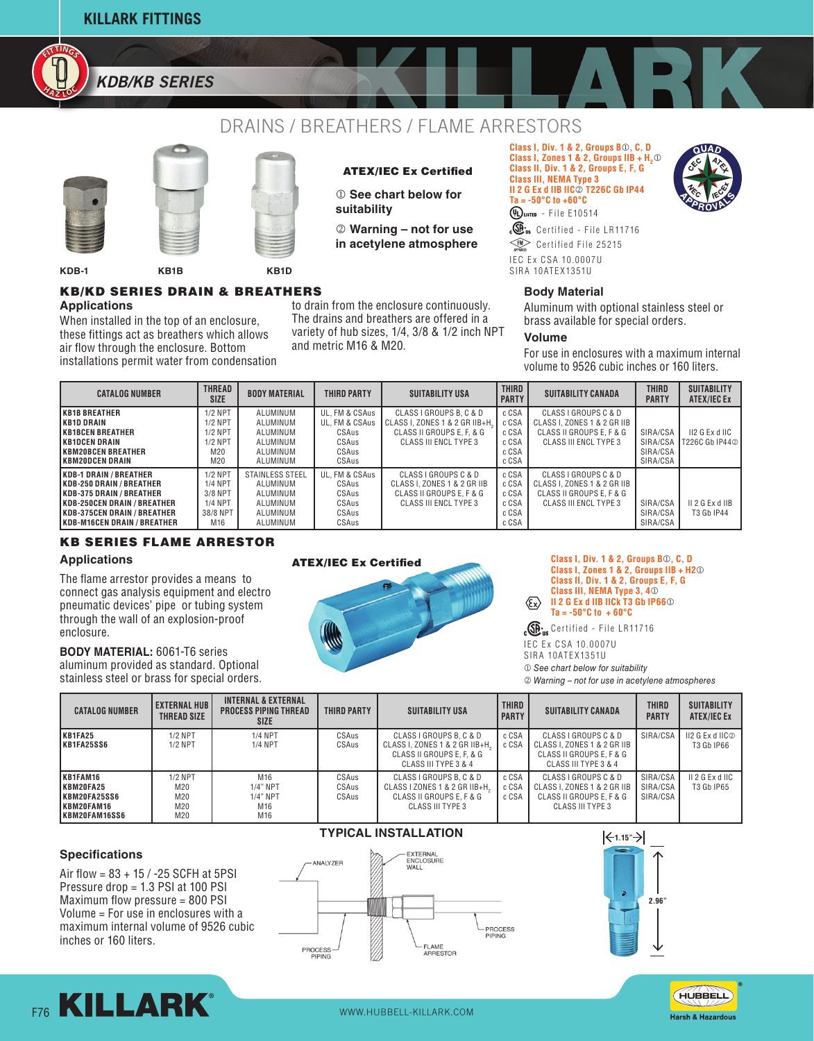**KILLARK FITTINGS**

**<sup>H</sup><sup>A</sup> <sup>Z</sup> <sup>L</sup>O<sup>C</sup> HAOFITTINGS** *KDB/KB SERIES*

**FITTI<sup>G</sup>**

# DRAINS / BREATHERS / FLAME ARRESTORS





# ATEX/IEC Ex Certified

- $@$  See chart below for **suitability**
- k **Warning not for use in acetylene atmosphere**

**Class I, Div. 1 & 2, Groups B**j**, C, D Class I, Zones 1 & 2, Groups IIB +**  $H_2$ **<sup>①</sup> Class II, Div. 1 & 2, Groups E, F, G Class III, NEMA Type 3 II 2 G Ex d IIB IIC<sup>o</sup> T226C Gb IP44 Ta = -50°C to +60°C**  $Q$ Uusten - File E10514



IEC Ex CSA 10.0007U SIRA 10ATEX1351U  $c\overline{\mathbb{G}}$ <sub>us</sub> Certified - File LR11716  $\widehat{\phantom{A}}$  Certified File 25215

### **Body Material**

Aluminum with optional stainless steel or brass available for special orders.

### **Volume**

For use in enclosures with a maximum internal volume to 9526 cubic inches or 160 liters.

| <b>CATALOG NUMBER</b>                                                                                                                                                                                               | THREAD<br><b>BODY MATERIAL</b><br>THIRD PARTY<br><b>SIZE</b>                |                                                                             | <b>SUITABILITY USA</b>                                               | <b>THIRD</b><br><b>PARTY</b>                                                                                    | <b>SUITABILITY CANADA</b>                          | <b>THIRD</b><br><b>PARTY</b>                                                                                    | <b>SUITABILITY</b><br>ATEX/IEC Ex            |                                      |
|---------------------------------------------------------------------------------------------------------------------------------------------------------------------------------------------------------------------|-----------------------------------------------------------------------------|-----------------------------------------------------------------------------|----------------------------------------------------------------------|-----------------------------------------------------------------------------------------------------------------|----------------------------------------------------|-----------------------------------------------------------------------------------------------------------------|----------------------------------------------|--------------------------------------|
| <b>KB1B BREATHER</b><br>I KB1D DRAIN<br><b>IKB1BCEN BREATHER</b><br><b>KB1DCEN DRAIN</b><br>IKBM20BCEN BREATHER<br>IKBM20DCEN DRAIN                                                                                 | $1/2$ NPT<br>$1/2$ NPT<br>$1/2$ NPT<br>$1/2$ NPT<br>M20<br>M20              | ALUMINUM<br>ALUMINUM<br>ALUMINUM<br>ALUMINUM<br>ALUMINUM<br>ALUMINUM        | UL, FM & CSAus<br>UL. FM & CSAus<br>CSAus<br>CSAus<br>CSAus<br>CSAus | CLASS I GROUPS B. C & D<br>CLASS I, ZONES 1 & 2 GR IIB+H,<br>CLASS II GROUPS E, F, & G<br>CLASS III ENCL TYPE 3 | c CSA<br>c CSA<br>c CSA<br>c CSA<br>c CSA<br>c CSA | CLASS I GROUPS C & D<br>CLASS I. ZONES 1 & 2 GR IIB<br>CLASS II GROUPS E. F & G<br><b>CLASS III ENCL TYPE 3</b> | SIRA/CSA<br>SIRA/CSA<br>SIRA/CSA<br>SIRA/CSA | $II2$ G Ex d $IIC$<br>T226C Gb IP442 |
| <b>IKDB-1 DRAIN / BREATHER</b><br><b>KDB-250 DRAIN / BREATHER</b><br>IKDB-375 DRAIN / BREATHER<br><b>IKDB-250CEN DRAIN / BREATHER</b><br><b>IKDB-375CEN DRAIN / BREATHER</b><br><b>IKDB-M16CEN DRAIN / BREATHER</b> | $1/2$ NPT<br><b>1/4 NPT</b><br>3/8 NPT<br><b>1/4 NPT</b><br>38/8 NPT<br>M16 | STAINLESS STEEL<br>ALUMINUM<br>ALUMINUM<br>ALUMINUM<br>ALUMINUM<br>ALUMINUM | UL. FM & CSAus<br>CSAus<br>CSAus<br>CSAus<br>CSAus<br>CSAus          | CLASS I GROUPS C & D<br>CLASS I. ZONES 1 & 2 GR IIB<br>CLASS II GROUPS E. F & G<br>CLASS III ENCL TYPE 3        | c CSA<br>c CSA<br>c CSA<br>c CSA<br>c CSA<br>c CSA | CLASS I GROUPS C & D<br>CLASS I. ZONES 1 & 2 GR IIB<br>CLASS II GROUPS E. F & G<br>CLASS III ENCL TYPE 3        | SIRA/CSA<br>SIRA/CSA<br>SIRA/CSA             | $II$ 2 G Ex d IIB<br>T3 Gb IP44      |

## KB SERIES FLAME ARRESTOR

### **Applications**

The flame arrestor provides a means to connect gas analysis equipment and electro pneumatic devices' pipe or tubing system through the wall of an explosion-proof enclosure.

**BODY MATERIAL:** 6061-T6 series aluminum provided as standard. Optional stainless steel or brass for special orders.



**Class I, Zones 1 & 2, Groups IIB + H2**j **Class II, Div. 1 & 2, Groups E, F, G Class III, NEMA Type 3, 4**j  $\langle \! \! \! \! \! \langle \! \! \! \! \; \rangle$ **II 2 G Ex d IIB IICk T3 Gb IP66**j **Ta = -50°C to + 60°C**

 $_{c}\mathbb{G}_{\text{us}}$  Certified - File LR11716

IEC Ex CSA 10.0007U

- SIRA 10ATEX1351U
- $\n *See chart below for suitability*\n$

 $\circ$  **Warning – not for use in acetylene atmospheres** 

| <b>CATALOG NUMBER</b>                                                 | I EXTERNAL HUB I<br><b>THREAD SIZE</b> | <b>INTERNAL &amp; EXTERNAL</b><br>PROCESS PIPING THREAD<br><b>SIZE</b> | THIRD PARTY             | <b>SUITABILITY USA</b>                                                                                         | <b>THIRD</b><br><b>PARTY</b> | <b>SUITABILITY CANADA</b>                                                                               | THIRD<br><b>PARTY</b>            | <b>SUITABILITY</b><br>ATEX/IEC Ex |
|-----------------------------------------------------------------------|----------------------------------------|------------------------------------------------------------------------|-------------------------|----------------------------------------------------------------------------------------------------------------|------------------------------|---------------------------------------------------------------------------------------------------------|----------------------------------|-----------------------------------|
| KB1FA25<br>KB1FA25SS6                                                 | $1/2$ NPT<br>$1/2$ NPT                 | <b>1/4 NPT</b><br><b>1/4 NPT</b>                                       | CSAus<br>CSAus          | CLASS I GROUPS B. C & D<br>CLASS I, ZONES 1 & 2 GR IIB+H.<br>CLASS II GROUPS E, F, & G<br>CLASS III TYPE 3 & 4 | c CSA<br>c CSA               | CLASS I GROUPS C & D<br>CLASS I. ZONES 1 & 2 GR IIB<br>CLASS II GROUPS E. F & G<br>CLASS III TYPE 3 & 4 | SIRA/CSA                         | II2 G Ex d IIC2<br>T3 Gb IP66     |
| KB1FAM16<br>KBM20FA25<br>KBM20FA25SS6<br>IKBM20FAM16<br>KBM20FAM16SS6 | $1/2$ NPT<br>M20<br>M20<br>M20<br>M20  | M16<br>$1/4"$ NPT<br>$1/4"$ NPT<br>M16<br>M16                          | CSAus<br>CSAus<br>CSAus | CLASS I GROUPS B, C & D<br>CLASS I ZONES 1 & 2 GR IIB+H.<br>CLASS II GROUPS E. F & G<br>CLASS III TYPE 3       | c CSA<br>c CSA<br>c CSA      | CLASS I GROUPS C & D<br>CLASS I. ZONES 1 & 2 GR IIB<br>CLASS II GROUPS E, F & G<br>CLASS III TYPE 3     | SIRA/CSA<br>SIRA/CSA<br>SIRA/CSA | II 2 G Ex d IIC<br>T3 Gb IP65     |

### **Specifications**

Air flow = 83 + 15 / -25 SCFH at 5PSI Pressure drop = 1.3 PSI at 100 PSI Maximum flow pressure = 800 PSI Volume = For use in enclosures with a maximum internal volume of 9526 cubic inches or 160 liters.



# **TYPICAL INSTALLATION**







**Applications** KB/KD SERIES DRAIN & BREATHERS

**KDB-1 KB1B KB1D**

When installed in the top of an enclosure, these fittings act as breathers which allows air flow through the enclosure. Bottom installations permit water from condensation

to drain from the enclosure continuously. The drains and breathers are offered in a variety of hub sizes, 1/4, 3/8 & 1/2 inch NPT and metric M16 & M20.